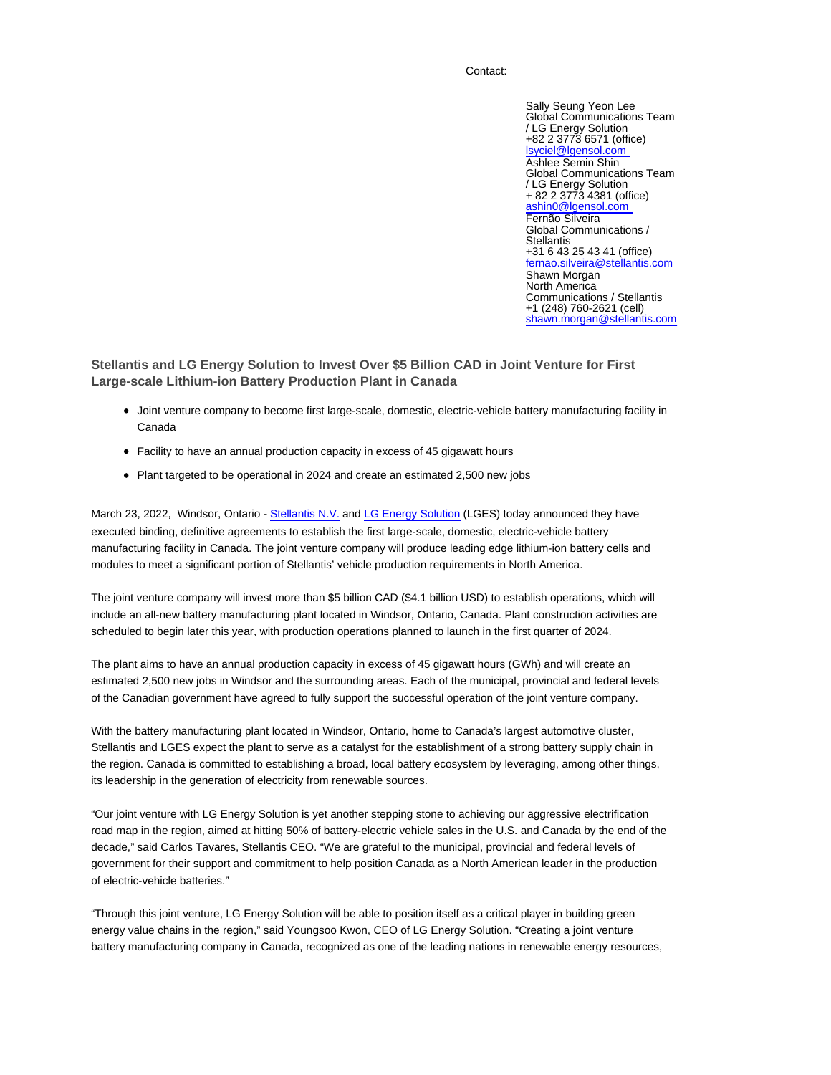## Contact:

Sally Seung Yeon Lee Global Communications Team / LG Energy Solution +82 2 3773 6571 (office) lsyciel@lgensol.com Ashlee Semin Shin Global Communications Team / LG Energy Solution + 82 2 3773 4381 (office) ashin0@lgensol.com Fernão Silveira Global Communications / **Stellantis** +31 6 43 25 43 41 (office) fernao.silveira@stellantis.com Shawn Morgan North America Communications / Stellantis +1 (248) 760-2621 (cell) shawn.morgan@stellantis.com

**Stellantis and LG Energy Solution to Invest Over \$5 Billion CAD in Joint Venture for First Large-scale Lithium-ion Battery Production Plant in Canada**

- Joint venture company to become first large-scale, domestic, electric-vehicle battery manufacturing facility in Canada
- Facility to have an annual production capacity in excess of 45 gigawatt hours
- Plant targeted to be operational in 2024 and create an estimated 2,500 new jobs

March 23, 2022, Windsor, Ontario - Stellantis N.V. and LG Energy Solution (LGES) today announced they have executed binding, definitive agreements to establish the first large-scale, domestic, electric-vehicle battery manufacturing facility in Canada. The joint venture company will produce leading edge lithium-ion battery cells and modules to meet a significant portion of Stellantis' vehicle production requirements in North America.

The joint venture company will invest more than \$5 billion CAD (\$4.1 billion USD) to establish operations, which will include an all-new battery manufacturing plant located in Windsor, Ontario, Canada. Plant construction activities are scheduled to begin later this year, with production operations planned to launch in the first quarter of 2024.

The plant aims to have an annual production capacity in excess of 45 gigawatt hours (GWh) and will create an estimated 2,500 new jobs in Windsor and the surrounding areas. Each of the municipal, provincial and federal levels of the Canadian government have agreed to fully support the successful operation of the joint venture company.

With the battery manufacturing plant located in Windsor, Ontario, home to Canada's largest automotive cluster, Stellantis and LGES expect the plant to serve as a catalyst for the establishment of a strong battery supply chain in the region. Canada is committed to establishing a broad, local battery ecosystem by leveraging, among other things, its leadership in the generation of electricity from renewable sources.

"Our joint venture with LG Energy Solution is yet another stepping stone to achieving our aggressive electrification road map in the region, aimed at hitting 50% of battery-electric vehicle sales in the U.S. and Canada by the end of the decade," said Carlos Tavares, Stellantis CEO. "We are grateful to the municipal, provincial and federal levels of government for their support and commitment to help position Canada as a North American leader in the production of electric-vehicle batteries."

"Through this joint venture, LG Energy Solution will be able to position itself as a critical player in building green energy value chains in the region," said Youngsoo Kwon, CEO of LG Energy Solution. "Creating a joint venture battery manufacturing company in Canada, recognized as one of the leading nations in renewable energy resources,